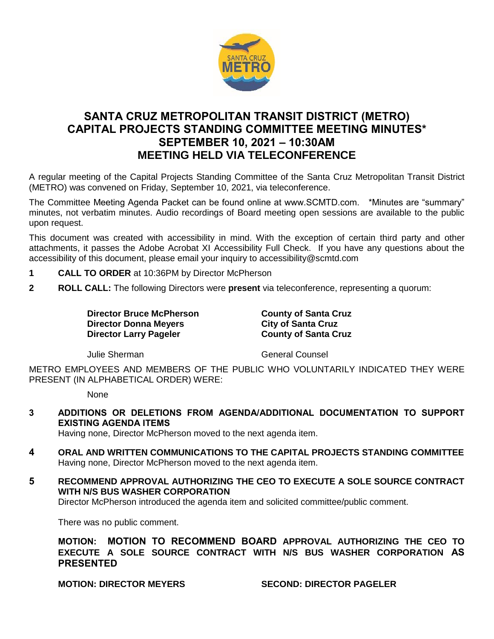

## **SANTA CRUZ METROPOLITAN TRANSIT DISTRICT (METRO) CAPITAL PROJECTS STANDING COMMITTEE MEETING MINUTES\* SEPTEMBER 10, 2021 – 10:30AM MEETING HELD VIA TELECONFERENCE**

A regular meeting of the Capital Projects Standing Committee of the Santa Cruz Metropolitan Transit District (METRO) was convened on Friday, September 10, 2021, via teleconference.

The Committee Meeting Agenda Packet can be found online at www.SCMTD.com. \*Minutes are "summary" minutes, not verbatim minutes. Audio recordings of Board meeting open sessions are available to the public upon request.

This document was created with accessibility in mind. With the exception of certain third party and other attachments, it passes the Adobe Acrobat XI Accessibility Full Check. If you have any questions about the accessibility of this document, please email your inquiry to accessibility@scmtd.com

- **1 CALL TO ORDER** at 10:36PM by Director McPherson
- **2 ROLL CALL:** The following Directors were **present** via teleconference, representing a quorum:

**Director Bruce McPherson County of Santa Cruz Director Donna Meyers City of Santa Cruz Director Larry Pageler County of Santa Cruz**

Julie Sherman General Counsel

METRO EMPLOYEES AND MEMBERS OF THE PUBLIC WHO VOLUNTARILY INDICATED THEY WERE PRESENT (IN ALPHABETICAL ORDER) WERE:

None

**3 ADDITIONS OR DELETIONS FROM AGENDA/ADDITIONAL DOCUMENTATION TO SUPPORT EXISTING AGENDA ITEMS** 

Having none, Director McPherson moved to the next agenda item.

- **4 ORAL AND WRITTEN COMMUNICATIONS TO THE CAPITAL PROJECTS STANDING COMMITTEE**  Having none, Director McPherson moved to the next agenda item.
- **5 RECOMMEND APPROVAL AUTHORIZING THE CEO TO EXECUTE A SOLE SOURCE CONTRACT WITH N/S BUS WASHER CORPORATION**

Director McPherson introduced the agenda item and solicited committee/public comment.

There was no public comment.

**MOTION: MOTION TO RECOMMEND BOARD APPROVAL AUTHORIZING THE CEO TO EXECUTE A SOLE SOURCE CONTRACT WITH N/S BUS WASHER CORPORATION AS PRESENTED** 

**MOTION: DIRECTOR MEYERS SECOND: DIRECTOR PAGELER**